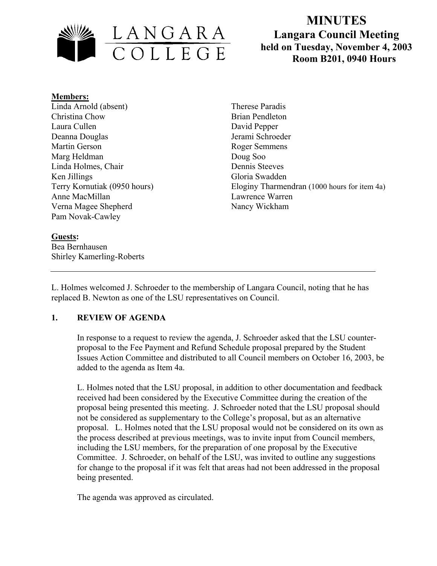

# **MINUTES Langara Council Meeting held on Tuesday, November 4, 2003**  LANGARA<br>
COLLEGE held on Tuesday, November 4, 2<br>
Room B201, 0940 Hours

#### **Members:**

Linda Arnold (absent) Christina Chow Laura Cullen Deanna Douglas Martin Gerson Marg Heldman Linda Holmes, Chair Ken Jillings Terry Kornutiak (0950 hours) Anne MacMillan Verna Magee Shepherd Pam Novak-Cawley

Therese Paradis Brian Pendleton David Pepper Jerami Schroeder Roger Semmens Doug Soo Dennis Steeves Gloria Swadden Eloginy Tharmendran (1000 hours for item 4a) Lawrence Warren Nancy Wickham

# **Guests:**

Bea Bernhausen Shirley Kamerling-Roberts

L. Holmes welcomed J. Schroeder to the membership of Langara Council, noting that he has replaced B. Newton as one of the LSU representatives on Council.

## **1. REVIEW OF AGENDA**

In response to a request to review the agenda, J. Schroeder asked that the LSU counterproposal to the Fee Payment and Refund Schedule proposal prepared by the Student Issues Action Committee and distributed to all Council members on October 16, 2003, be added to the agenda as Item 4a.

L. Holmes noted that the LSU proposal, in addition to other documentation and feedback received had been considered by the Executive Committee during the creation of the proposal being presented this meeting. J. Schroeder noted that the LSU proposal should not be considered as supplementary to the College's proposal, but as an alternative proposal. L. Holmes noted that the LSU proposal would not be considered on its own as the process described at previous meetings, was to invite input from Council members, including the LSU members, for the preparation of one proposal by the Executive Committee. J. Schroeder, on behalf of the LSU, was invited to outline any suggestions for change to the proposal if it was felt that areas had not been addressed in the proposal being presented.

The agenda was approved as circulated.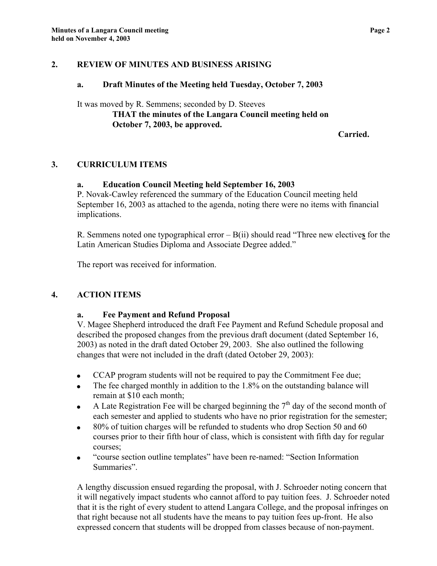#### **2. REVIEW OF MINUTES AND BUSINESS ARISING**

#### **a. Draft Minutes of the Meeting held Tuesday, October 7, 2003**

It was moved by R. Semmens; seconded by D. Steeves **THAT the minutes of the Langara Council meeting held on October 7, 2003, be approved.** 

 **Carried.** 

# **3. CURRICULUM ITEMS**

## **a. Education Council Meeting held September 16, 2003**

P. Novak-Cawley referenced the summary of the Education Council meeting held September 16, 2003 as attached to the agenda, noting there were no items with financial implications.

R. Semmens noted one typographical error – B(ii) should read "Three new elective**s** for the Latin American Studies Diploma and Associate Degree added."

The report was received for information.

## **4. ACTION ITEMS**

## **a. Fee Payment and Refund Proposal**

V. Magee Shepherd introduced the draft Fee Payment and Refund Schedule proposal and described the proposed changes from the previous draft document (dated September 16, 2003) as noted in the draft dated October 29, 2003. She also outlined the following changes that were not included in the draft (dated October 29, 2003):

- CCAP program students will not be required to pay the Commitment Fee due;
- The fee charged monthly in addition to the 1.8% on the outstanding balance will remain at \$10 each month;
- A Late Registration Fee will be charged beginning the  $7<sup>th</sup>$  day of the second month of each semester and applied to students who have no prior registration for the semester;
- 80% of tuition charges will be refunded to students who drop Section 50 and 60 courses prior to their fifth hour of class, which is consistent with fifth day for regular courses;
- "course section outline templates" have been re-named: "Section Information Summaries".

A lengthy discussion ensued regarding the proposal, with J. Schroeder noting concern that it will negatively impact students who cannot afford to pay tuition fees. J. Schroeder noted that it is the right of every student to attend Langara College, and the proposal infringes on that right because not all students have the means to pay tuition fees up-front. He also expressed concern that students will be dropped from classes because of non-payment.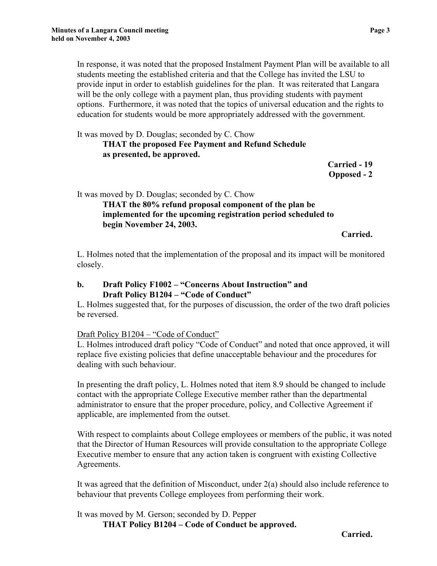In response, it was noted that the proposed Instalment Payment Plan will be available to all students meeting the established criteria and that the College has invited the LSU to provide input in order to establish guidelines for the plan. It was reiterated that Langara will be the only college with a payment plan, thus providing students with payment options. Furthermore, it was noted that the topics of universal education and the rights to education for students would be more appropriately addressed with the government.

It was moved by D. Douglas; seconded by C. Chow **THAT the proposed Fee Payment and Refund Schedule as presented, be approved.** 

> **Carried - 19 Opposed - 2**

It was moved by D. Douglas; seconded by C. Chow

**THAT the 80% refund proposal component of the plan be implemented for the upcoming registration period scheduled to begin November 24, 2003.** 

**Carried.** 

L. Holmes noted that the implementation of the proposal and its impact will be monitored closely.

#### **b. Draft Policy F1002 – "Concerns About Instruction" and Draft Policy B1204 – "Code of Conduct"**

 L. Holmes suggested that, for the purposes of discussion, the order of the two draft policies be reversed.

## Draft Policy B1204 – "Code of Conduct"

L. Holmes introduced draft policy "Code of Conduct" and noted that once approved, it will replace five existing policies that define unacceptable behaviour and the procedures for dealing with such behaviour.

In presenting the draft policy, L. Holmes noted that item 8.9 should be changed to include contact with the appropriate College Executive member rather than the departmental administrator to ensure that the proper procedure, policy, and Collective Agreement if applicable, are implemented from the outset.

With respect to complaints about College employees or members of the public, it was noted that the Director of Human Resources will provide consultation to the appropriate College Executive member to ensure that any action taken is congruent with existing Collective Agreements.

It was agreed that the definition of Misconduct, under 2(a) should also include reference to behaviour that prevents College employees from performing their work.

It was moved by M. Gerson; seconded by D. Pepper **THAT Policy B1204 – Code of Conduct be approved.**